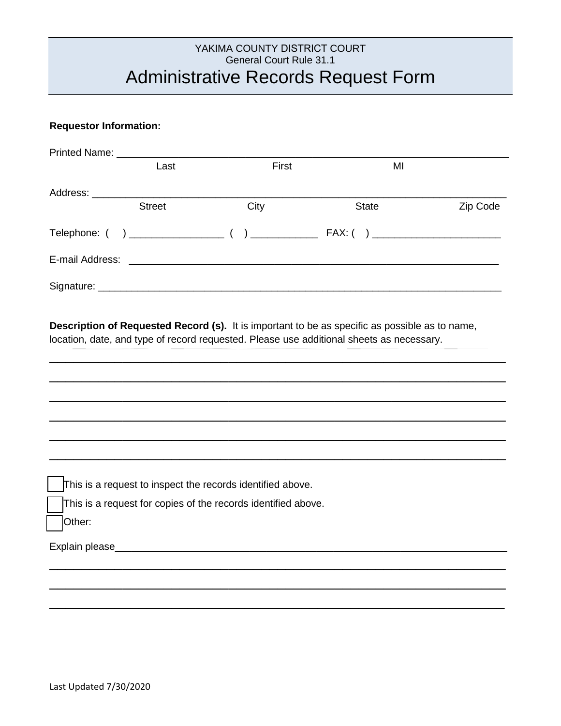# YAKIMA COUNTY DISTRICT COURT General Court Rule 31.1 Administrative Records Request Form

#### **Requestor Information:**

| Last          | First | MI                                  |          |
|---------------|-------|-------------------------------------|----------|
|               |       |                                     |          |
| <b>Street</b> | City  | <b>State</b>                        | Zip Code |
|               |       | FAX: ( ) __________________________ |          |
|               |       |                                     |          |
|               |       |                                     |          |

**Description of Requested Record (s).** It is important to be as specific as possible as to name, location, date, and type of record requested. Please use additional sheets as necessary.

\_\_\_\_\_\_\_\_\_\_\_\_\_\_\_\_\_\_\_\_\_\_\_\_\_\_\_\_\_\_\_\_\_\_\_\_\_\_\_\_\_\_\_\_\_\_\_\_\_\_\_\_\_\_\_\_

\_\_\_\_\_\_\_\_\_\_\_\_\_\_\_\_\_\_\_\_\_\_\_\_\_\_\_\_\_\_\_\_\_\_\_\_\_\_\_\_\_\_\_\_\_\_\_\_\_\_\_\_\_\_\_\_

\_\_\_\_\_\_\_\_\_\_\_\_\_\_\_\_\_\_\_\_\_\_\_\_\_\_\_\_\_\_\_\_\_\_\_\_\_\_\_\_\_\_\_\_\_\_\_\_\_\_\_\_\_\_\_\_

\_\_\_\_\_\_\_\_\_\_\_\_\_\_\_\_\_\_\_\_\_\_\_\_\_\_\_\_\_\_\_\_\_\_\_\_\_\_\_\_\_\_\_\_\_\_\_\_\_\_\_\_\_\_\_\_

\_\_\_\_\_\_\_\_\_\_\_\_\_\_\_\_\_\_\_\_\_\_\_\_\_\_\_\_\_\_\_\_\_\_\_\_\_\_\_\_\_\_\_\_\_\_\_\_\_\_\_\_\_\_\_\_

\_\_\_\_\_\_\_\_\_\_\_\_\_\_\_\_\_\_\_\_\_\_\_\_\_\_\_\_\_\_\_\_\_\_\_\_\_\_\_\_\_\_\_\_\_\_\_\_\_\_\_\_\_\_\_\_

\_\_\_\_\_\_\_\_\_\_\_\_\_\_\_\_\_\_\_\_\_\_\_\_\_\_\_\_\_\_\_\_\_\_\_\_\_\_\_\_\_\_\_\_\_\_\_\_\_\_\_\_\_\_\_\_

\_\_\_\_\_\_\_\_\_\_\_\_\_\_\_\_\_\_\_\_\_\_\_\_\_\_\_\_\_\_\_\_\_\_\_\_\_\_\_\_\_\_\_\_\_\_\_\_\_\_\_\_\_\_\_\_

\_\_\_\_\_\_\_\_\_\_\_\_\_\_\_\_\_\_\_\_\_\_\_\_\_\_\_\_\_\_\_\_\_\_\_\_\_\_\_\_\_\_\_\_\_\_\_\_\_\_\_\_\_\_\_\_

This is a request to inspect the records identified above.

This is a request for copies of the records identified above.

Other:

Explain please\_\_\_\_\_\_\_\_\_\_\_\_\_\_\_\_\_\_\_\_\_\_\_\_\_\_\_\_\_\_\_\_\_\_\_\_\_\_\_\_\_\_\_\_\_\_\_\_\_\_\_\_\_\_\_\_\_\_\_\_\_\_\_\_\_\_\_\_\_\_